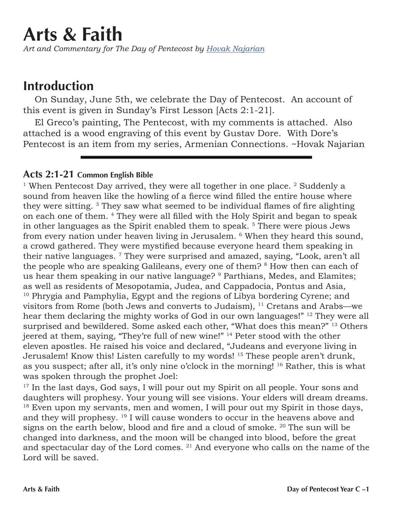## **Arts & Faith**

*Art and Commentary for The Day of Pentecost by Hovak Najarian*

## **Introduction**

On Sunday, June 5th, we celebrate the Day of Pentecost. An account of this event is given in Sunday's First Lesson [Acts 2:1-21].

El Greco's painting, The Pentecost, with my comments is attached. Also attached is a wood engraving of this event by Gustav Dore. With Dore's Pentecost is an item from my series, Armenian Connections. ~Hovak Najarian

## **Acts 2:1-21 Common English Bible**

<sup>1</sup> When Pentecost Day arrived, they were all together in one place.  $2$  Suddenly a sound from heaven like the howling of a fierce wind filled the entire house where they were sitting. 3 They saw what seemed to be individual flames of fire alighting on each one of them. 4 They were all filled with the Holy Spirit and began to speak in other languages as the Spirit enabled them to speak. 5 There were pious Jews from every nation under heaven living in Jerusalem. 6 When they heard this sound, a crowd gathered. They were mystified because everyone heard them speaking in their native languages. 7 They were surprised and amazed, saying, "Look, aren't all the people who are speaking Galileans, every one of them? <sup>8</sup> How then can each of us hear them speaking in our native language? 9 Parthians, Medes, and Elamites; as well as residents of Mesopotamia, Judea, and Cappadocia, Pontus and Asia, <sup>10</sup> Phrygia and Pamphylia, Egypt and the regions of Libya bordering Cyrene; and visitors from Rome (both Jews and converts to Judaism), 11 Cretans and Arabs—we hear them declaring the mighty works of God in our own languages!" 12 They were all surprised and bewildered. Some asked each other, "What does this mean?" <sup>13</sup> Others jeered at them, saying, "They're full of new wine!" 14 Peter stood with the other eleven apostles. He raised his voice and declared, "Judeans and everyone living in Jerusalem! Know this! Listen carefully to my words! 15 These people aren't drunk, as you suspect; after all, it's only nine o'clock in the morning! 16 Rather, this is what was spoken through the prophet Joel:

<sup>17</sup> In the last days, God says, I will pour out my Spirit on all people. Your sons and daughters will prophesy. Your young will see visions. Your elders will dream dreams. <sup>18</sup> Even upon my servants, men and women, I will pour out my Spirit in those days, and they will prophesy. 19 I will cause wonders to occur in the heavens above and signs on the earth below, blood and fire and a cloud of smoke. <sup>20</sup> The sun will be changed into darkness, and the moon will be changed into blood, before the great and spectacular day of the Lord comes. 21 And everyone who calls on the name of the Lord will be saved.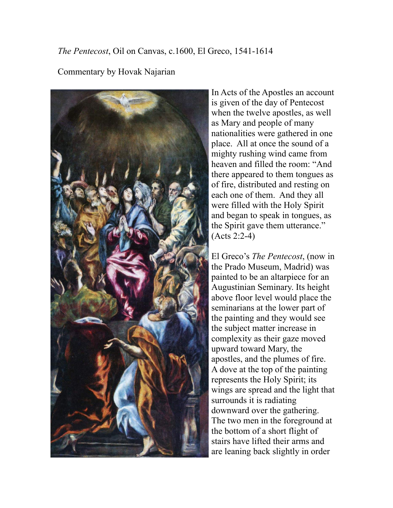*The Pentecost*, Oil on Canvas, c.1600, El Greco, 1541-1614

## Commentary by Hovak Najarian



In Acts of the Apostles an account is given of the day of Pentecost when the twelve apostles, as well as Mary and people of many nationalities were gathered in one place. All at once the sound of a mighty rushing wind came from heaven and filled the room: "And there appeared to them tongues as of fire, distributed and resting on each one of them. And they all were filled with the Holy Spirit and began to speak in tongues, as the Spirit gave them utterance." (Acts 2:2-4)

El Greco's *The Pentecost*, (now in the Prado Museum, Madrid) was painted to be an altarpiece for an Augustinian Seminary. Its height above floor level would place the seminarians at the lower part of the painting and they would see the subject matter increase in complexity as their gaze moved upward toward Mary, the apostles, and the plumes of fire. A dove at the top of the painting represents the Holy Spirit; its wings are spread and the light that surrounds it is radiating downward over the gathering. The two men in the foreground at the bottom of a short flight of stairs have lifted their arms and are leaning back slightly in order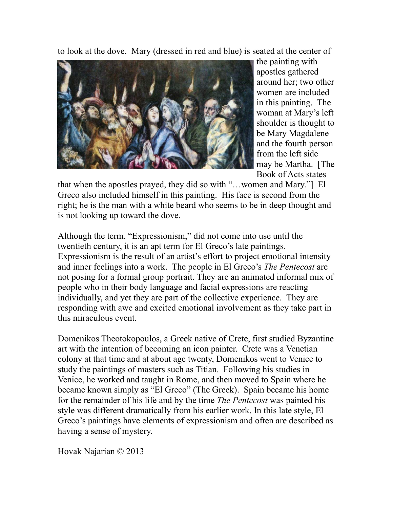to look at the dove. Mary (dressed in red and blue) is seated at the center of



the painting with apostles gathered around her; two other women are included in this painting. The woman at Mary's left shoulder is thought to be Mary Magdalene and the fourth person from the left side may be Martha. [The Book of Acts states

that when the apostles prayed, they did so with "…women and Mary."] El Greco also included himself in this painting. His face is second from the right; he is the man with a white beard who seems to be in deep thought and is not looking up toward the dove.

Although the term, "Expressionism," did not come into use until the twentieth century, it is an apt term for El Greco's late paintings. Expressionism is the result of an artist's effort to project emotional intensity and inner feelings into a work. The people in El Greco's *The Pentecost* are not posing for a formal group portrait. They are an animated informal mix of people who in their body language and facial expressions are reacting individually, and yet they are part of the collective experience. They are responding with awe and excited emotional involvement as they take part in this miraculous event.

Domenikos Theotokopoulos, a Greek native of Crete, first studied Byzantine art with the intention of becoming an icon painter. Crete was a Venetian colony at that time and at about age twenty, Domenikos went to Venice to study the paintings of masters such as Titian. Following his studies in Venice, he worked and taught in Rome, and then moved to Spain where he became known simply as "El Greco" (The Greek). Spain became his home for the remainder of his life and by the time *The Pentecost* was painted his style was different dramatically from his earlier work. In this late style, El Greco's paintings have elements of expressionism and often are described as having a sense of mystery.

Hovak Najarian © 2013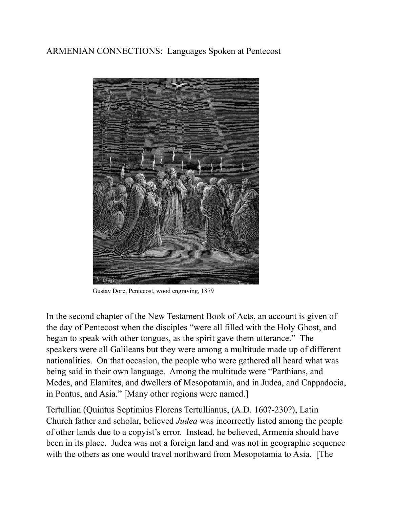ARMENIAN CONNECTIONS: Languages Spoken at Pentecost



Gustav Dore, Pentecost, wood engraving, 1879

In the second chapter of the New Testament Book of Acts, an account is given of the day of Pentecost when the disciples "were all filled with the Holy Ghost, and began to speak with other tongues, as the spirit gave them utterance." The speakers were all Galileans but they were among a multitude made up of different nationalities. On that occasion, the people who were gathered all heard what was being said in their own language. Among the multitude were "Parthians, and Medes, and Elamites, and dwellers of Mesopotamia, and in Judea, and Cappadocia, in Pontus, and Asia." [Many other regions were named.]

Tertullian (Quintus Septimius Florens Tertullianus, (A.D. 160?-230?), Latin Church father and scholar, believed *Judea* was incorrectly listed among the people of other lands due to a copyist's error. Instead, he believed, Armenia should have been in its place. Judea was not a foreign land and was not in geographic sequence with the others as one would travel northward from Mesopotamia to Asia. [The